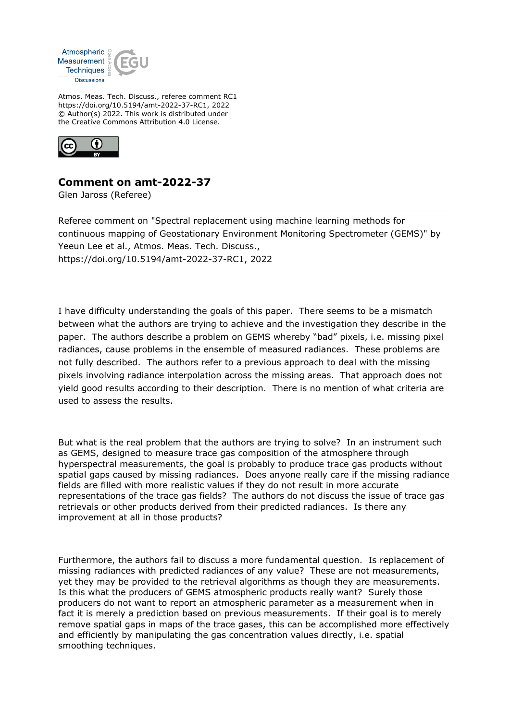

Atmos. Meas. Tech. Discuss., referee comment RC1 https://doi.org/10.5194/amt-2022-37-RC1, 2022 © Author(s) 2022. This work is distributed under the Creative Commons Attribution 4.0 License.



**Comment on amt-2022-37**

Glen Jaross (Referee)

Referee comment on "Spectral replacement using machine learning methods for continuous mapping of Geostationary Environment Monitoring Spectrometer (GEMS)" by Yeeun Lee et al., Atmos. Meas. Tech. Discuss., https://doi.org/10.5194/amt-2022-37-RC1, 2022

I have difficulty understanding the goals of this paper. There seems to be a mismatch between what the authors are trying to achieve and the investigation they describe in the paper. The authors describe a problem on GEMS whereby "bad" pixels, i.e. missing pixel radiances, cause problems in the ensemble of measured radiances. These problems are not fully described. The authors refer to a previous approach to deal with the missing pixels involving radiance interpolation across the missing areas. That approach does not yield good results according to their description. There is no mention of what criteria are used to assess the results.

But what is the real problem that the authors are trying to solve? In an instrument such as GEMS, designed to measure trace gas composition of the atmosphere through hyperspectral measurements, the goal is probably to produce trace gas products without spatial gaps caused by missing radiances. Does anyone really care if the missing radiance fields are filled with more realistic values if they do not result in more accurate representations of the trace gas fields? The authors do not discuss the issue of trace gas retrievals or other products derived from their predicted radiances. Is there any improvement at all in those products?

Furthermore, the authors fail to discuss a more fundamental question. Is replacement of missing radiances with predicted radiances of any value? These are not measurements, yet they may be provided to the retrieval algorithms as though they are measurements. Is this what the producers of GEMS atmospheric products really want? Surely those producers do not want to report an atmospheric parameter as a measurement when in fact it is merely a prediction based on previous measurements. If their goal is to merely remove spatial gaps in maps of the trace gases, this can be accomplished more effectively and efficiently by manipulating the gas concentration values directly, i.e. spatial smoothing techniques.